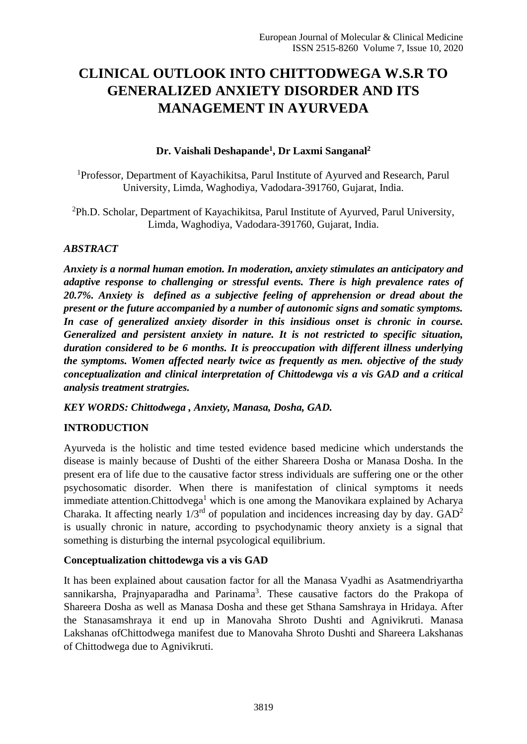# **CLINICAL OUTLOOK INTO CHITTODWEGA W.S.R TO GENERALIZED ANXIETY DISORDER AND ITS MANAGEMENT IN AYURVEDA**

## **Dr. Vaishali Deshapande<sup>1</sup> , Dr Laxmi Sanganal<sup>2</sup>**

<sup>1</sup>Professor, Department of Kayachikitsa, Parul Institute of Ayurved and Research, Parul University, Limda, Waghodiya, Vadodara-391760, Gujarat, India.

<sup>2</sup>Ph.D. Scholar, Department of Kayachikitsa, Parul Institute of Ayurved, Parul University, Limda, Waghodiya, Vadodara-391760, Gujarat, India.

## *ABSTRACT*

*Anxiety is a normal human emotion. In moderation, anxiety stimulates an anticipatory and adaptive response to challenging or stressful events. There is high prevalence rates of 20.7%. Anxiety is defined as a subjective feeling of apprehension or dread about the present or the future accompanied by a number of autonomic signs and somatic symptoms. In case of generalized anxiety disorder in this insidious onset is chronic in course. Generalized and persistent anxiety in nature. It is not restricted to specific situation, duration considered to be 6 months. It is preoccupation with different illness underlying the symptoms. Women affected nearly twice as frequently as men. objective of the study conceptualization and clinical interpretation of Chittodewga vis a vis GAD and a critical analysis treatment stratrgies.*

*KEY WORDS: Chittodwega , Anxiety, Manasa, Dosha, GAD.*

#### **INTRODUCTION**

Ayurveda is the holistic and time tested evidence based medicine which understands the disease is mainly because of Dushti of the either Shareera Dosha or Manasa Dosha. In the present era of life due to the causative factor stress individuals are suffering one or the other psychosomatic disorder. When there is manifestation of clinical symptoms it needs immediate attention.Chittodvega<sup>1</sup> which is one among the Manovikara explained by Acharya Charaka. It affecting nearly  $1/3^{rd}$  of population and incidences increasing day by day.  $GAD^2$ is usually chronic in nature, according to psychodynamic theory anxiety is a signal that something is disturbing the internal psycological equilibrium.

#### **Conceptualization chittodewga vis a vis GAD**

It has been explained about causation factor for all the Manasa Vyadhi as Asatmendriyartha sannikarsha, Prajnyaparadha and Parinama<sup>3</sup>. These causative factors do the Prakopa of Shareera Dosha as well as Manasa Dosha and these get Sthana Samshraya in Hridaya. After the Stanasamshraya it end up in Manovaha Shroto Dushti and Agnivikruti. Manasa Lakshanas ofChittodwega manifest due to Manovaha Shroto Dushti and Shareera Lakshanas of Chittodwega due to Agnivikruti.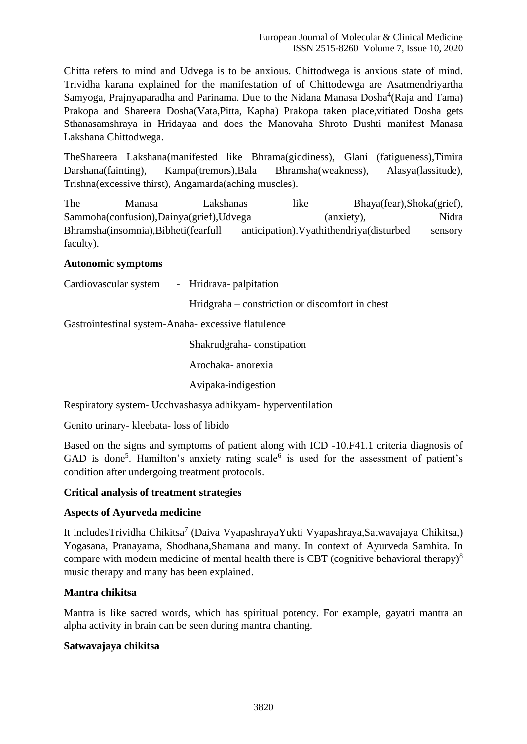Chitta refers to mind and Udvega is to be anxious. Chittodwega is anxious state of mind. Trividha karana explained for the manifestation of of Chittodewga are Asatmendriyartha Samyoga, Prajnyaparadha and Parinama. Due to the Nidana Manasa Dosha<sup>4</sup>(Raja and Tama) Prakopa and Shareera Dosha(Vata,Pitta, Kapha) Prakopa taken place,vitiated Dosha gets Sthanasamshraya in Hridayaa and does the Manovaha Shroto Dushti manifest Manasa Lakshana Chittodwega.

TheShareera Lakshana(manifested like Bhrama(giddiness), Glani (fatigueness),Timira Darshana(fainting), Kampa(tremors),Bala Bhramsha(weakness), Alasya(lassitude), Trishna(excessive thirst), Angamarda(aching muscles).

The Manasa Lakshanas like Bhaya(fear),Shoka(grief), Sammoha(confusion),Dainya(grief),Udvega (anxiety), Nidra Bhramsha(insomnia),Bibheti(fearfull anticipation).Vyathithendriya(disturbed sensory faculty).

## **Autonomic symptoms**

| Cardiovascular system |  | Hridrava- palpitation |  |
|-----------------------|--|-----------------------|--|
|-----------------------|--|-----------------------|--|

Hridgraha – constriction or discomfort in chest

Gastrointestinal system-Anaha- excessive flatulence

Shakrudgraha- constipation

Arochaka- anorexia

Avipaka-indigestion

Respiratory system- Ucchvashasya adhikyam- hyperventilation

Genito urinary- kleebata- loss of libido

Based on the signs and symptoms of patient along with ICD -10.F41.1 criteria diagnosis of GAD is done<sup>5</sup>. Hamilton's anxiety rating scale<sup>6</sup> is used for the assessment of patient's condition after undergoing treatment protocols.

#### **Critical analysis of treatment strategies**

# **Aspects of Ayurveda medicine**

It includesTrividha Chikitsa<sup>7</sup> (Daiva VyapashrayaYukti Vyapashraya,Satwavajaya Chikitsa,) Yogasana, Pranayama, Shodhana,Shamana and many. In context of Ayurveda Samhita. In compare with modern medicine of mental health there is CBT (cognitive behavioral therapy)<sup>8</sup> music therapy and many has been explained.

#### **Mantra chikitsa**

Mantra is like sacred words, which has spiritual potency. For example, gayatri mantra an alpha activity in brain can be seen during mantra chanting.

#### **Satwavajaya chikitsa**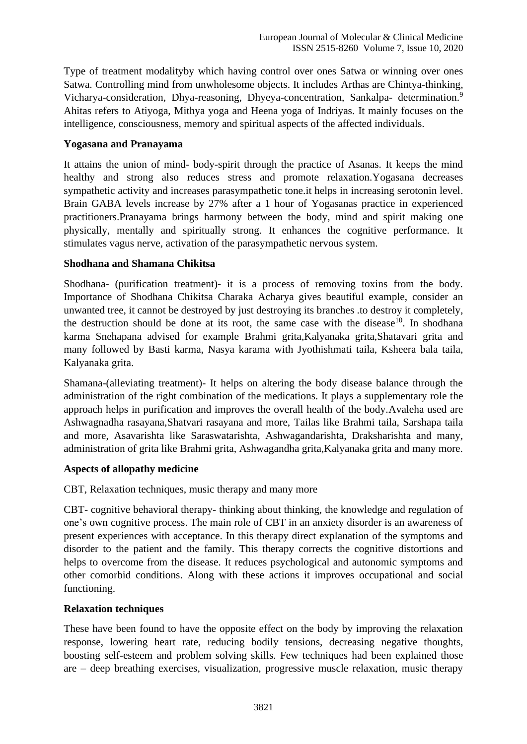Type of treatment modalityby which having control over ones Satwa or winning over ones Satwa. Controlling mind from unwholesome objects. It includes Arthas are Chintya-thinking, Vicharya-consideration, Dhya-reasoning, Dhyeya-concentration, Sankalpa- determination.<sup>9</sup> Ahitas refers to Atiyoga, Mithya yoga and Heena yoga of Indriyas. It mainly focuses on the intelligence, consciousness, memory and spiritual aspects of the affected individuals.

## **Yogasana and Pranayama**

It attains the union of mind- body-spirit through the practice of Asanas. It keeps the mind healthy and strong also reduces stress and promote relaxation.Yogasana decreases sympathetic activity and increases parasympathetic tone.it helps in increasing serotonin level. Brain GABA levels increase by 27% after a 1 hour of Yogasanas practice in experienced practitioners.Pranayama brings harmony between the body, mind and spirit making one physically, mentally and spiritually strong. It enhances the cognitive performance. It stimulates vagus nerve, activation of the parasympathetic nervous system.

## **Shodhana and Shamana Chikitsa**

Shodhana- (purification treatment)- it is a process of removing toxins from the body. Importance of Shodhana Chikitsa Charaka Acharya gives beautiful example, consider an unwanted tree, it cannot be destroyed by just destroying its branches .to destroy it completely, the destruction should be done at its root, the same case with the disease<sup>10</sup>. In shodhana karma Snehapana advised for example Brahmi grita,Kalyanaka grita,Shatavari grita and many followed by Basti karma, Nasya karama with Jyothishmati taila, Ksheera bala taila, Kalyanaka grita.

Shamana-(alleviating treatment)- It helps on altering the body disease balance through the administration of the right combination of the medications. It plays a supplementary role the approach helps in purification and improves the overall health of the body.Avaleha used are Ashwagnadha rasayana,Shatvari rasayana and more, Tailas like Brahmi taila, Sarshapa taila and more, Asavarishta like Saraswatarishta, Ashwagandarishta, Draksharishta and many, administration of grita like Brahmi grita, Ashwagandha grita,Kalyanaka grita and many more.

# **Aspects of allopathy medicine**

CBT, Relaxation techniques, music therapy and many more

CBT- cognitive behavioral therapy- thinking about thinking, the knowledge and regulation of one's own cognitive process. The main role of CBT in an anxiety disorder is an awareness of present experiences with acceptance. In this therapy direct explanation of the symptoms and disorder to the patient and the family. This therapy corrects the cognitive distortions and helps to overcome from the disease. It reduces psychological and autonomic symptoms and other comorbid conditions. Along with these actions it improves occupational and social functioning.

#### **Relaxation techniques**

These have been found to have the opposite effect on the body by improving the relaxation response, lowering heart rate, reducing bodily tensions, decreasing negative thoughts, boosting self-esteem and problem solving skills. Few techniques had been explained those are – deep breathing exercises, visualization, progressive muscle relaxation, music therapy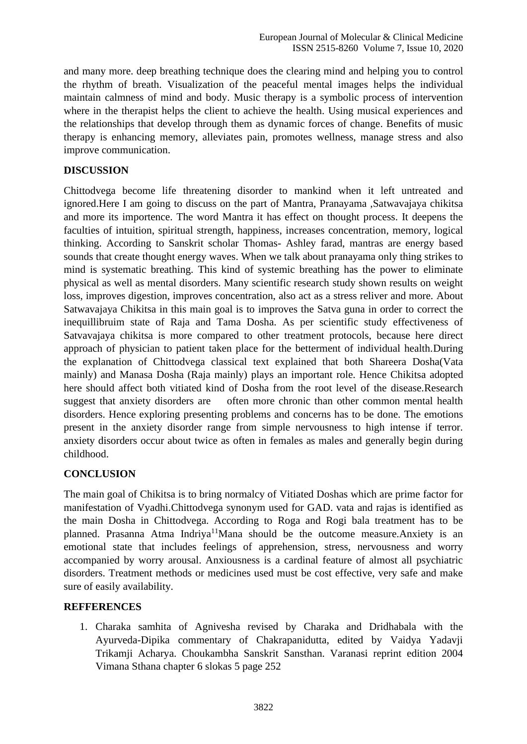and many more. deep breathing technique does the clearing mind and helping you to control the rhythm of breath. Visualization of the peaceful mental images helps the individual maintain calmness of mind and body. Music therapy is a symbolic process of intervention where in the therapist helps the client to achieve the health. Using musical experiences and the relationships that develop through them as dynamic forces of change. Benefits of music therapy is enhancing memory, alleviates pain, promotes wellness, manage stress and also improve communication.

## **DISCUSSION**

Chittodvega become life threatening disorder to mankind when it left untreated and ignored.Here I am going to discuss on the part of Mantra, Pranayama ,Satwavajaya chikitsa and more its importence. The word Mantra it has effect on thought process. It deepens the faculties of intuition, spiritual strength, happiness, increases concentration, memory, logical thinking. According to Sanskrit scholar Thomas- Ashley farad, mantras are energy based sounds that create thought energy waves. When we talk about pranayama only thing strikes to mind is systematic breathing. This kind of systemic breathing has the power to eliminate physical as well as mental disorders. Many scientific research study shown results on weight loss, improves digestion, improves concentration, also act as a stress reliver and more. About Satwavajaya Chikitsa in this main goal is to improves the Satva guna in order to correct the inequillibruim state of Raja and Tama Dosha. As per scientific study effectiveness of Satvavajaya chikitsa is more compared to other treatment protocols, because here direct approach of physician to patient taken place for the betterment of individual health.During the explanation of Chittodvega classical text explained that both Shareera Dosha(Vata mainly) and Manasa Dosha (Raja mainly) plays an important role. Hence Chikitsa adopted here should affect both vitiated kind of Dosha from the root level of the disease.Research suggest that anxiety disorders are often more chronic than other common mental health disorders. Hence exploring presenting problems and concerns has to be done. The emotions present in the anxiety disorder range from simple nervousness to high intense if terror. anxiety disorders occur about twice as often in females as males and generally begin during childhood.

# **CONCLUSION**

The main goal of Chikitsa is to bring normalcy of Vitiated Doshas which are prime factor for manifestation of Vyadhi.Chittodvega synonym used for GAD. vata and rajas is identified as the main Dosha in Chittodvega. According to Roga and Rogi bala treatment has to be planned. Prasanna Atma Indriya<sup>11</sup>Mana should be the outcome measure.Anxiety is an emotional state that includes feelings of apprehension, stress, nervousness and worry accompanied by worry arousal. Anxiousness is a cardinal feature of almost all psychiatric disorders. Treatment methods or medicines used must be cost effective, very safe and make sure of easily availability.

#### **REFFERENCES**

1. Charaka samhita of Agnivesha revised by Charaka and Dridhabala with the Ayurveda-Dipika commentary of Chakrapanidutta, edited by Vaidya Yadavji Trikamji Acharya. Choukambha Sanskrit Sansthan. Varanasi reprint edition 2004 Vimana Sthana chapter 6 slokas 5 page 252